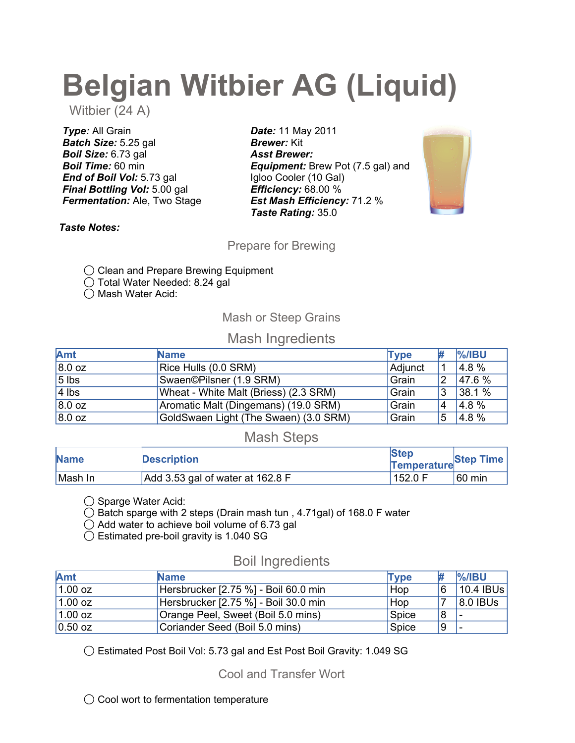# Belgian Witbier AG (Liquid)

Witbier (24 A)

**Type: All Grain** Batch Size: 5.25 gal Boil Size: 6.73 gal Boil Time: 60 min End of Boil Vol: 5.73 gal **Final Bottling Vol: 5.00 gal Fermentation: Ale, Two Stage** 

Date: 11 May 2011 **Brewer: Kit** Asst Brewer: **Equipment:** Brew Pot (7.5 gal) and Igloo Cooler (10 Gal) Efficiency: 68.00 % Est Mash Efficiency: 71.2 % Taste Rating: 35.0



Taste Notes:

Prepare for Brewing

◯ Clean and Prepare Brewing Equipment

◯ Total Water Needed: 8.24 gal

◯ Mash Water Acid:

## Mash or Steep Grains

# Mash Ingredients

| Amt     | <b>Name</b>                           | <b>Tvpe</b> |                | $\frac{9}{6}$ /IBU |
|---------|---------------------------------------|-------------|----------------|--------------------|
| 8.0 oz  | Rice Hulls (0.0 SRM)                  | Adjunct     | -1             | 4.8 %              |
| $5$ lbs | Swaen©Pilsner (1.9 SRM)               | Grain       | 2              | 47.6 %             |
| $4$ lbs | Wheat - White Malt (Briess) (2.3 SRM) | Grain       | 3              | 38.1 %             |
| 8.0 oz  | Aromatic Malt (Dingemans) (19.0 SRM)  | Grain       | $\overline{4}$ | 4.8%               |
| 8.0 oz  | GoldSwaen Light (The Swaen) (3.0 SRM) | Grain       | 5              | 4.8 %              |

# Mash Steps

| <b>Name</b> | <b>Description</b>               | <b>Step</b><br>Temperature Step Time |                  |
|-------------|----------------------------------|--------------------------------------|------------------|
| Mash In     | Add 3.53 gal of water at 162.8 F | 152.0 F                              | $60 \text{ min}$ |

◯ Sparge Water Acid:

 $\bigcirc$  Batch sparge with 2 steps (Drain mash tun, 4.71gal) of 168.0 F water

◯ Add water to achieve boil volume of 6.73 gal

◯ Estimated pre-boil gravity is 1.040 SG

# Boil Ingredients

| <b>Amt</b> | <b>Name</b>                          | <b>Type</b> |   | $\frac{9}{6}$ /IBU |
|------------|--------------------------------------|-------------|---|--------------------|
| $1.00$ oz  | Hersbrucker [2.75 %] - Boil 60.0 min | Hop         | 6 | $ 10.4 $ IBUs      |
| $1.00$ oz  | Hersbrucker [2.75 %] - Boil 30.0 min | Hop         |   | 8.0 IBUs           |
| $1.00$ oz  | Orange Peel, Sweet (Boil 5.0 mins)   | Spice       | 8 |                    |
| $0.50$ oz  | Coriander Seed (Boil 5.0 mins)       | Spice       | 9 |                    |

◯ Estimated Post Boil Vol: 5.73 gal and Est Post Boil Gravity: 1.049 SG

Cool and Transfer Wort